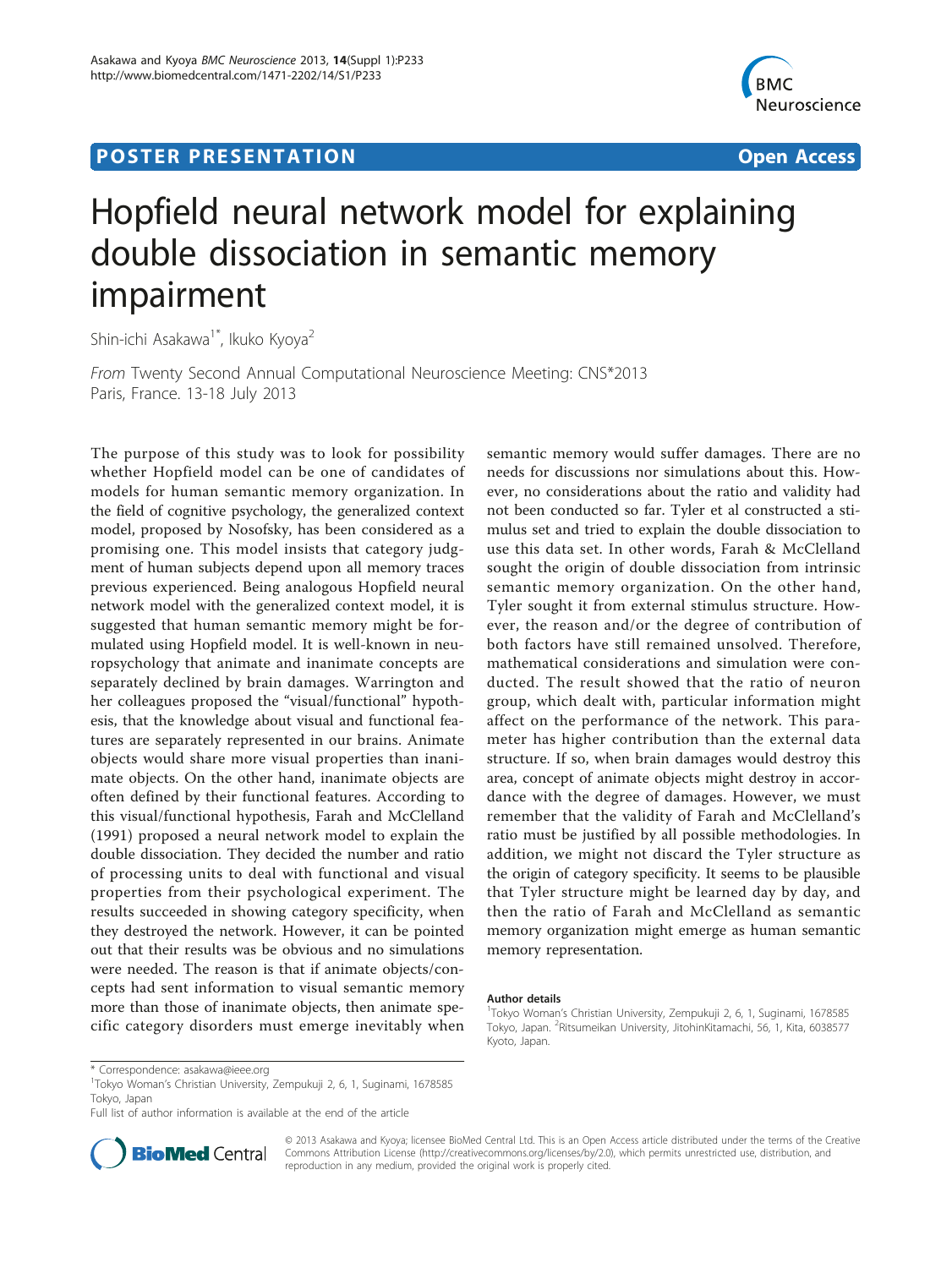## **POSTER PRESENTATION CONSUMING THE SERVICE SERVICE SERVICES**



## Hopfield neural network model for explaining double dissociation in semantic memory impairment

Shin-ichi Asakawa<sup>1\*</sup>, Ikuko Kyova<sup>2</sup>

From Twenty Second Annual Computational Neuroscience Meeting: CNS\*2013 Paris, France. 13-18 July 2013

The purpose of this study was to look for possibility whether Hopfield model can be one of candidates of models for human semantic memory organization. In the field of cognitive psychology, the generalized context model, proposed by Nosofsky, has been considered as a promising one. This model insists that category judgment of human subjects depend upon all memory traces previous experienced. Being analogous Hopfield neural network model with the generalized context model, it is suggested that human semantic memory might be formulated using Hopfield model. It is well-known in neuropsychology that animate and inanimate concepts are separately declined by brain damages. Warrington and her colleagues proposed the "visual/functional" hypothesis, that the knowledge about visual and functional features are separately represented in our brains. Animate objects would share more visual properties than inanimate objects. On the other hand, inanimate objects are often defined by their functional features. According to this visual/functional hypothesis, Farah and McClelland (1991) proposed a neural network model to explain the double dissociation. They decided the number and ratio of processing units to deal with functional and visual properties from their psychological experiment. The results succeeded in showing category specificity, when they destroyed the network. However, it can be pointed out that their results was be obvious and no simulations were needed. The reason is that if animate objects/concepts had sent information to visual semantic memory more than those of inanimate objects, then animate specific category disorders must emerge inevitably when

semantic memory would suffer damages. There are no needs for discussions nor simulations about this. However, no considerations about the ratio and validity had not been conducted so far. Tyler et al constructed a stimulus set and tried to explain the double dissociation to use this data set. In other words, Farah & McClelland sought the origin of double dissociation from intrinsic semantic memory organization. On the other hand, Tyler sought it from external stimulus structure. However, the reason and/or the degree of contribution of both factors have still remained unsolved. Therefore, mathematical considerations and simulation were conducted. The result showed that the ratio of neuron group, which dealt with, particular information might affect on the performance of the network. This parameter has higher contribution than the external data structure. If so, when brain damages would destroy this area, concept of animate objects might destroy in accordance with the degree of damages. However, we must remember that the validity of Farah and McClelland's ratio must be justified by all possible methodologies. In addition, we might not discard the Tyler structure as the origin of category specificity. It seems to be plausible that Tyler structure might be learned day by day, and then the ratio of Farah and McClelland as semantic memory organization might emerge as human semantic memory representation.

## Author details

Full list of author information is available at the end of the article



© 2013 Asakawa and Kyoya; licensee BioMed Central Ltd. This is an Open Access article distributed under the terms of the Creative Commons Attribution License [\(http://creativecommons.org/licenses/by/2.0](http://creativecommons.org/licenses/by/2.0)), which permits unrestricted use, distribution, and reproduction in any medium, provided the original work is properly cited.

<sup>&</sup>lt;sup>1</sup>Tokyo Woman's Christian University, Zempukuji 2, 6, 1, Suginami, 1678585 Tokyo, Japan. <sup>2</sup>Ritsumeikan University, JitohinKitamachi, 56, 1, Kita, 6038577 Kyoto, Japan.

<sup>\*</sup> Correspondence: [asakawa@ieee.org](mailto:asakawa@ieee.org)

<sup>1</sup> Tokyo Woman's Christian University, Zempukuji 2, 6, 1, Suginami, 1678585 Tokyo, Japan